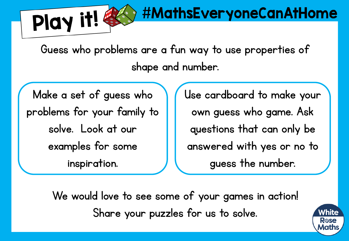Guess who problems are a fun way to use properties of shape and number.

Make a set of guess who problems for your family to solve. Look at our examples for some inspiration.

Play it!

Use cardboard to make your own guess who game. Ask questions that can only be answered with yes or no to guess the number.

#MathsEveryoneCanAtHome

We would love to see some of your games in action! Share your puzzles for us to solve.

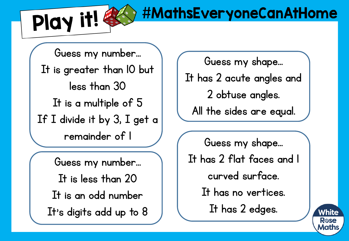Play it!

## #MathsEveryoneCanAtHome

Guess my number… It is greater than 10 but less than 30 It is a multiple of 5 If I divide it by 3, I get a remainder of 1

Guess my number… It is less than 20 It is an odd number It's digits add up to 8 Guess my shape…

It has 2 acute angles and 2 obtuse angles. All the sides are equal.

Guess my shape… It has 2 flat faces and 1 curved surface. It has no vertices. It has 2 edges.

White Rose Math